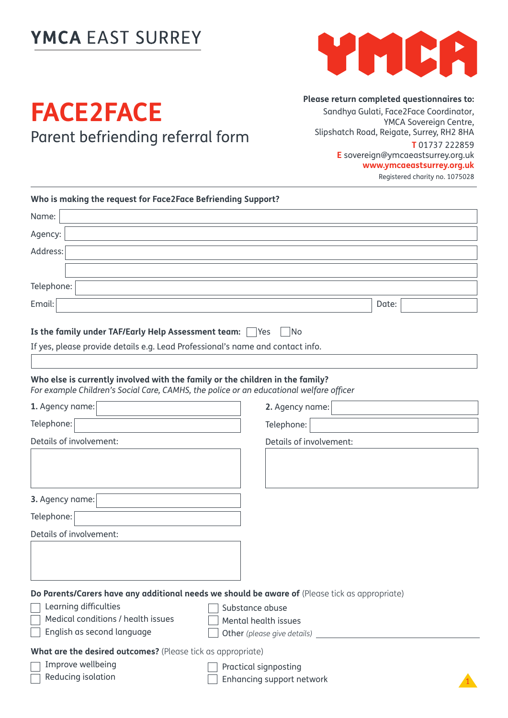## YMCA EAST SURREY



## **FACE2FACE** Parent befriending referral form

**Please return completed questionnaires to:**

Sandhya Gulati, Face2Face Coordinator, YMCA Sovereign Centre, Slipshatch Road, Reigate, Surrey, RH2 8HA **T** 01737 222859 **E** sovereign@ymcaeastsurrey.org.uk **www.ymcaeastsurrey.org.uk** Registered charity no. 1075028

| Who is making the request for Face2Face Befriending Support?                                                                                                             |                                                                                                |
|--------------------------------------------------------------------------------------------------------------------------------------------------------------------------|------------------------------------------------------------------------------------------------|
| Name:                                                                                                                                                                    |                                                                                                |
| Agency:                                                                                                                                                                  |                                                                                                |
| Address:                                                                                                                                                                 |                                                                                                |
|                                                                                                                                                                          |                                                                                                |
| Telephone:                                                                                                                                                               |                                                                                                |
| Email:                                                                                                                                                                   | Date:                                                                                          |
| Is the family under TAF/Early Help Assessment team:                                                                                                                      | No<br><b>P</b> Yes                                                                             |
| If yes, please provide details e.g. Lead Professional's name and contact info.                                                                                           |                                                                                                |
|                                                                                                                                                                          |                                                                                                |
| Who else is currently involved with the family or the children in the family?<br>For example Children's Social Care, CAMHS, the police or an educational welfare officer |                                                                                                |
| 1. Agency name:                                                                                                                                                          | 2. Agency name:                                                                                |
| Telephone:                                                                                                                                                               | Telephone:                                                                                     |
| Details of involvement:                                                                                                                                                  | Details of involvement:                                                                        |
|                                                                                                                                                                          |                                                                                                |
|                                                                                                                                                                          |                                                                                                |
| 3. Agency name:                                                                                                                                                          |                                                                                                |
| Telephone:                                                                                                                                                               |                                                                                                |
| Details of involvement:                                                                                                                                                  |                                                                                                |
|                                                                                                                                                                          |                                                                                                |
|                                                                                                                                                                          |                                                                                                |
|                                                                                                                                                                          |                                                                                                |
| Learning difficulties                                                                                                                                                    | Do Parents/Carers have any additional needs we should be aware of (Please tick as appropriate) |
| Medical conditions / health issues                                                                                                                                       | Substance abuse<br>Mental health issues                                                        |
| English as second language                                                                                                                                               |                                                                                                |
| What are the desired outcomes? (Please tick as appropriate)                                                                                                              |                                                                                                |
| Improve wellbeing                                                                                                                                                        | Practical signposting                                                                          |
| Reducing isolation                                                                                                                                                       | Enhancing support network                                                                      |